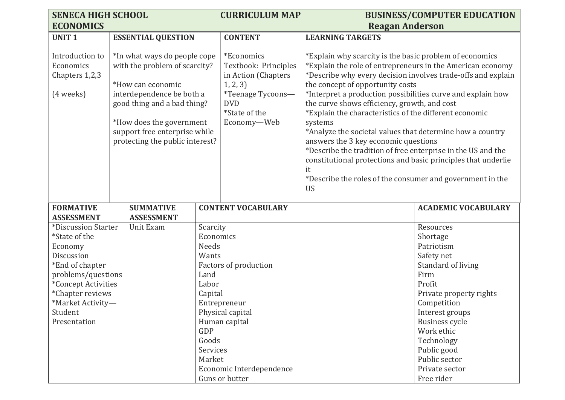| <b>SENECA HIGH SCHOOL</b>                 |                                 |               | <b>CURRICULUM MAP</b>        |                                                                                                  | <b>BUSINESS/COMPUTER EDUCATION</b> |
|-------------------------------------------|---------------------------------|---------------|------------------------------|--------------------------------------------------------------------------------------------------|------------------------------------|
| <b>ECONOMICS</b>                          |                                 |               |                              | <b>Reagan Anderson</b>                                                                           |                                    |
| <b>UNIT1</b>                              | <b>ESSENTIAL QUESTION</b>       |               | <b>CONTENT</b>               | <b>LEARNING TARGETS</b>                                                                          |                                    |
|                                           |                                 |               |                              |                                                                                                  |                                    |
| Introduction to                           | *In what ways do people cope    |               | *Economics                   | *Explain why scarcity is the basic problem of economics                                          |                                    |
| Economics                                 | with the problem of scarcity?   |               | Textbook: Principles         | *Explain the role of entrepreneurs in the American economy                                       |                                    |
| Chapters 1,2,3                            | *How can economic               |               | in Action (Chapters          | *Describe why every decision involves trade-offs and explain<br>the concept of opportunity costs |                                    |
| (4 weeks)                                 | interdependence be both a       |               | 1, 2, 3<br>*Teenage Tycoons- | *Interpret a production possibilities curve and explain how                                      |                                    |
|                                           | good thing and a bad thing?     |               | <b>DVD</b>                   | the curve shows efficiency, growth, and cost                                                     |                                    |
|                                           |                                 |               | *State of the                | *Explain the characteristics of the different economic                                           |                                    |
|                                           | *How does the government        |               | Economy-Web                  | systems                                                                                          |                                    |
|                                           | support free enterprise while   |               |                              | *Analyze the societal values that determine how a country                                        |                                    |
|                                           | protecting the public interest? |               |                              | answers the 3 key economic questions                                                             |                                    |
|                                           |                                 |               |                              | *Describe the tradition of free enterprise in the US and the                                     |                                    |
|                                           |                                 |               |                              | constitutional protections and basic principles that underlie                                    |                                    |
|                                           |                                 |               |                              | it                                                                                               |                                    |
|                                           |                                 |               |                              | *Describe the roles of the consumer and government in the<br><b>US</b>                           |                                    |
|                                           |                                 |               |                              |                                                                                                  |                                    |
| <b>FORMATIVE</b>                          | <b>SUMMATIVE</b>                |               | <b>CONTENT VOCABULARY</b>    |                                                                                                  | <b>ACADEMIC VOCABULARY</b>         |
| <b>ASSESSMENT</b>                         | <b>ASSESSMENT</b>               |               |                              |                                                                                                  |                                    |
| *Discussion Starter                       | Unit Exam                       | Scarcity      |                              |                                                                                                  | Resources                          |
| *State of the                             |                                 | Economics     |                              |                                                                                                  | Shortage                           |
| Economy                                   |                                 | <b>Needs</b>  |                              |                                                                                                  | Patriotism                         |
| Discussion                                |                                 | Wants         |                              |                                                                                                  | Safety net                         |
| *End of chapter                           |                                 |               | Factors of production        |                                                                                                  | Standard of living                 |
| problems/questions<br>*Concept Activities |                                 | Land<br>Labor |                              |                                                                                                  | Firm<br>Profit                     |
| *Chapter reviews                          |                                 | Capital       |                              |                                                                                                  | Private property rights            |
| *Market Activity-                         |                                 |               | Entrepreneur                 |                                                                                                  | Competition                        |
| Student                                   |                                 |               | Physical capital             |                                                                                                  | Interest groups                    |
| Presentation                              |                                 |               | Human capital                |                                                                                                  | Business cycle                     |
|                                           |                                 | GDP           |                              |                                                                                                  | Work ethic                         |
|                                           |                                 | Goods         |                              |                                                                                                  | Technology                         |
|                                           |                                 | Services      |                              |                                                                                                  | Public good                        |
|                                           |                                 | Market        |                              |                                                                                                  | Public sector                      |
|                                           |                                 |               | Economic Interdependence     |                                                                                                  | Private sector                     |
|                                           |                                 |               | Guns or butter               |                                                                                                  | Free rider                         |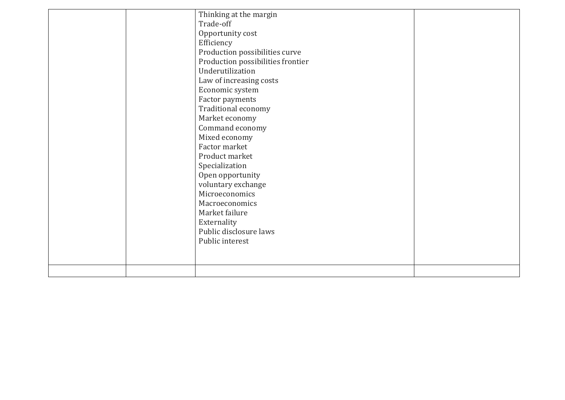|  | Thinking at the margin            |  |
|--|-----------------------------------|--|
|  | Trade-off                         |  |
|  | Opportunity cost                  |  |
|  | Efficiency                        |  |
|  | Production possibilities curve    |  |
|  | Production possibilities frontier |  |
|  | Underutilization                  |  |
|  | Law of increasing costs           |  |
|  | Economic system                   |  |
|  | Factor payments                   |  |
|  | Traditional economy               |  |
|  | Market economy                    |  |
|  | Command economy                   |  |
|  | Mixed economy                     |  |
|  | Factor market                     |  |
|  | Product market                    |  |
|  | Specialization                    |  |
|  | Open opportunity                  |  |
|  | voluntary exchange                |  |
|  | Microeconomics                    |  |
|  | Macroeconomics                    |  |
|  | Market failure                    |  |
|  | Externality                       |  |
|  | Public disclosure laws            |  |
|  | Public interest                   |  |
|  |                                   |  |
|  |                                   |  |
|  |                                   |  |
|  |                                   |  |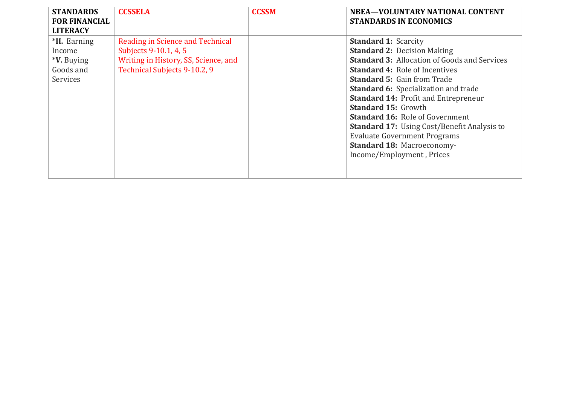| <b>STANDARDS</b><br><b>FOR FINANCIAL</b>                                                       | <b>CCSSELA</b>                                                                                                                    | <b>CCSSM</b> | NBEA-VOLUNTARY NATIONAL CONTENT<br><b>STANDARDS IN ECONOMICS</b>                                                                                                                                                                                                                                                                                                                                                                                                                                                                      |
|------------------------------------------------------------------------------------------------|-----------------------------------------------------------------------------------------------------------------------------------|--------------|---------------------------------------------------------------------------------------------------------------------------------------------------------------------------------------------------------------------------------------------------------------------------------------------------------------------------------------------------------------------------------------------------------------------------------------------------------------------------------------------------------------------------------------|
| <b>LITERACY</b><br>*II. Earning<br>Income<br><i><b>*V.</b></i> Buying<br>Goods and<br>Services | Reading in Science and Technical<br>Subjects 9-10.1, 4, 5<br>Writing in History, SS, Science, and<br>Technical Subjects 9-10.2, 9 |              | <b>Standard 1: Scarcity</b><br><b>Standard 2: Decision Making</b><br><b>Standard 3: Allocation of Goods and Services</b><br><b>Standard 4: Role of Incentives</b><br><b>Standard 5: Gain from Trade</b><br><b>Standard 6:</b> Specialization and trade<br><b>Standard 14: Profit and Entrepreneur</b><br><b>Standard 15: Growth</b><br><b>Standard 16: Role of Government</b><br><b>Standard 17:</b> Using Cost/Benefit Analysis to<br><b>Evaluate Government Programs</b><br>Standard 18: Macroeconomy-<br>Income/Employment, Prices |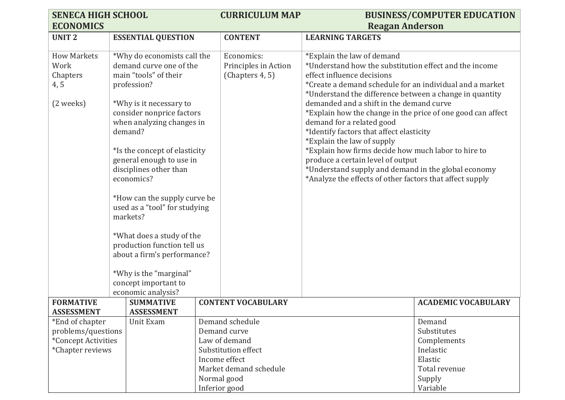| <b>SENECA HIGH SCHOOL</b>                     |                                                                                                                                                                                     | <b>CURRICULUM MAP</b>                                 |                                                                                                                                                                                                                                                                                                                                                                                                                              | <b>BUSINESS/COMPUTER EDUCATION</b> |
|-----------------------------------------------|-------------------------------------------------------------------------------------------------------------------------------------------------------------------------------------|-------------------------------------------------------|------------------------------------------------------------------------------------------------------------------------------------------------------------------------------------------------------------------------------------------------------------------------------------------------------------------------------------------------------------------------------------------------------------------------------|------------------------------------|
| <b>ECONOMICS</b>                              |                                                                                                                                                                                     |                                                       | <b>Reagan Anderson</b>                                                                                                                                                                                                                                                                                                                                                                                                       |                                    |
| <b>UNIT2</b>                                  | <b>ESSENTIAL QUESTION</b>                                                                                                                                                           | <b>CONTENT</b>                                        | <b>LEARNING TARGETS</b>                                                                                                                                                                                                                                                                                                                                                                                                      |                                    |
| <b>How Markets</b><br>Work<br>Chapters<br>4,5 | *Why do economists call the<br>demand curve one of the<br>main "tools" of their<br>profession?                                                                                      | Economics:<br>Principles in Action<br>(Chapters 4, 5) | *Explain the law of demand<br>*Understand how the substitution effect and the income<br>effect influence decisions<br>*Create a demand schedule for an individual and a market                                                                                                                                                                                                                                               |                                    |
| (2 weeks)                                     | *Why is it necessary to<br>consider nonprice factors<br>when analyzing changes in<br>demand?<br>*Is the concept of elasticity<br>general enough to use in<br>disciplines other than |                                                       | *Understand the difference between a change in quantity<br>demanded and a shift in the demand curve<br>*Explain how the change in the price of one good can affect<br>demand for a related good<br>*Identify factors that affect elasticity<br>*Explain the law of supply<br>*Explain how firms decide how much labor to hire to<br>produce a certain level of output<br>*Understand supply and demand in the global economy |                                    |
|                                               | economics?<br>*How can the supply curve be<br>used as a "tool" for studying<br>markets?                                                                                             |                                                       | *Analyze the effects of other factors that affect supply                                                                                                                                                                                                                                                                                                                                                                     |                                    |
|                                               | *What does a study of the<br>production function tell us                                                                                                                            |                                                       |                                                                                                                                                                                                                                                                                                                                                                                                                              |                                    |
|                                               | about a firm's performance?                                                                                                                                                         |                                                       |                                                                                                                                                                                                                                                                                                                                                                                                                              |                                    |
|                                               |                                                                                                                                                                                     |                                                       |                                                                                                                                                                                                                                                                                                                                                                                                                              |                                    |
|                                               | *Why is the "marginal"                                                                                                                                                              |                                                       |                                                                                                                                                                                                                                                                                                                                                                                                                              |                                    |
|                                               | concept important to                                                                                                                                                                |                                                       |                                                                                                                                                                                                                                                                                                                                                                                                                              |                                    |
|                                               | economic analysis?                                                                                                                                                                  |                                                       |                                                                                                                                                                                                                                                                                                                                                                                                                              |                                    |
| <b>FORMATIVE</b>                              | <b>SUMMATIVE</b>                                                                                                                                                                    | <b>CONTENT VOCABULARY</b>                             |                                                                                                                                                                                                                                                                                                                                                                                                                              | <b>ACADEMIC VOCABULARY</b>         |
| <b>ASSESSMENT</b><br>*End of chapter          | <b>ASSESSMENT</b><br>Unit Exam                                                                                                                                                      | Demand schedule                                       |                                                                                                                                                                                                                                                                                                                                                                                                                              | Demand                             |
| problems/questions                            |                                                                                                                                                                                     | Demand curve                                          |                                                                                                                                                                                                                                                                                                                                                                                                                              | Substitutes                        |
| *Concept Activities                           |                                                                                                                                                                                     | Law of demand                                         |                                                                                                                                                                                                                                                                                                                                                                                                                              | Complements                        |
| *Chapter reviews                              |                                                                                                                                                                                     | Substitution effect                                   |                                                                                                                                                                                                                                                                                                                                                                                                                              | Inelastic                          |
|                                               |                                                                                                                                                                                     | Income effect                                         |                                                                                                                                                                                                                                                                                                                                                                                                                              | Elastic                            |
|                                               |                                                                                                                                                                                     | Market demand schedule                                |                                                                                                                                                                                                                                                                                                                                                                                                                              | Total revenue                      |
|                                               |                                                                                                                                                                                     | Normal good                                           |                                                                                                                                                                                                                                                                                                                                                                                                                              | Supply                             |
|                                               |                                                                                                                                                                                     | Inferior good                                         |                                                                                                                                                                                                                                                                                                                                                                                                                              | Variable                           |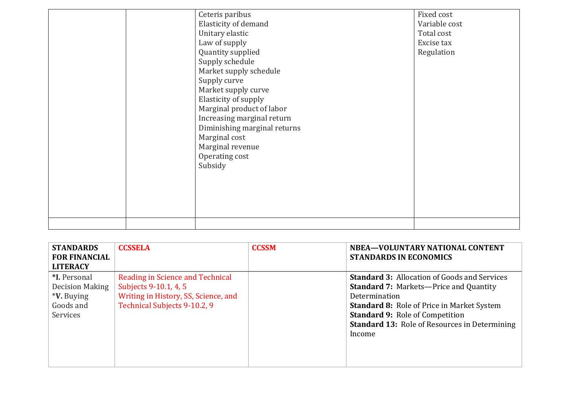|  | Ceteris paribus              | Fixed cost    |
|--|------------------------------|---------------|
|  | Elasticity of demand         | Variable cost |
|  | Unitary elastic              | Total cost    |
|  | Law of supply                | Excise tax    |
|  | Quantity supplied            | Regulation    |
|  | Supply schedule              |               |
|  | Market supply schedule       |               |
|  | Supply curve                 |               |
|  | Market supply curve          |               |
|  | Elasticity of supply         |               |
|  | Marginal product of labor    |               |
|  | Increasing marginal return   |               |
|  | Diminishing marginal returns |               |
|  | Marginal cost                |               |
|  | Marginal revenue             |               |
|  | Operating cost               |               |
|  | Subsidy                      |               |
|  |                              |               |
|  |                              |               |
|  |                              |               |
|  |                              |               |
|  |                              |               |
|  |                              |               |
|  |                              |               |

| <b>STANDARDS</b><br><b>FOR FINANCIAL</b><br><b>LITERACY</b>                          | <b>CCSSELA</b>                                                                                                                    | <b>CCSSM</b> | NBEA-VOLUNTARY NATIONAL CONTENT<br><b>STANDARDS IN ECONOMICS</b>                                                                                                                                                                                                                       |
|--------------------------------------------------------------------------------------|-----------------------------------------------------------------------------------------------------------------------------------|--------------|----------------------------------------------------------------------------------------------------------------------------------------------------------------------------------------------------------------------------------------------------------------------------------------|
| *I. Personal<br>Decision Making<br><i><b>*V.</b></i> Buying<br>Goods and<br>Services | Reading in Science and Technical<br>Subjects 9-10.1, 4, 5<br>Writing in History, SS, Science, and<br>Technical Subjects 9-10.2, 9 |              | <b>Standard 3: Allocation of Goods and Services</b><br><b>Standard 7: Markets-Price and Quantity</b><br>Determination<br><b>Standard 8: Role of Price in Market System</b><br><b>Standard 9: Role of Competition</b><br><b>Standard 13: Role of Resources in Determining</b><br>Income |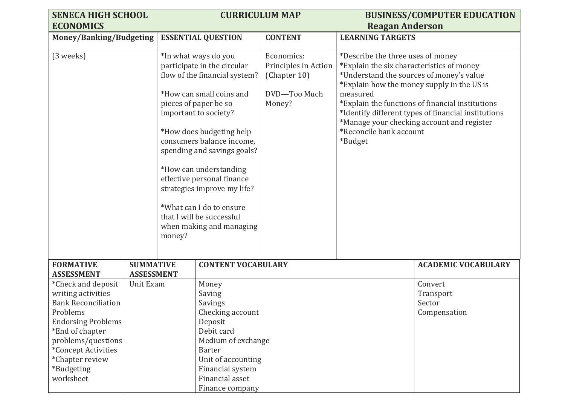| <b>SENECA HIGH SCHOOL</b>                                                                                                                                                                                                     |                                       | <b>CURRICULUM MAP</b> |                                                                                                                                                                                                                                                                                                                                                                                                                                        |                                                                              |                                                                                                                                                                                                                                                                                                                                                                                     | <b>BUSINESS/COMPUTER EDUCATION</b>             |
|-------------------------------------------------------------------------------------------------------------------------------------------------------------------------------------------------------------------------------|---------------------------------------|-----------------------|----------------------------------------------------------------------------------------------------------------------------------------------------------------------------------------------------------------------------------------------------------------------------------------------------------------------------------------------------------------------------------------------------------------------------------------|------------------------------------------------------------------------------|-------------------------------------------------------------------------------------------------------------------------------------------------------------------------------------------------------------------------------------------------------------------------------------------------------------------------------------------------------------------------------------|------------------------------------------------|
| <b>ECONOMICS</b>                                                                                                                                                                                                              |                                       |                       |                                                                                                                                                                                                                                                                                                                                                                                                                                        |                                                                              | <b>Reagan Anderson</b>                                                                                                                                                                                                                                                                                                                                                              |                                                |
| Money/Banking/Budgeting                                                                                                                                                                                                       |                                       |                       | <b>ESSENTIAL QUESTION</b>                                                                                                                                                                                                                                                                                                                                                                                                              | <b>CONTENT</b>                                                               | <b>LEARNING TARGETS</b>                                                                                                                                                                                                                                                                                                                                                             |                                                |
| (3 weeks)                                                                                                                                                                                                                     |                                       | money?                | *In what ways do you<br>participate in the circular<br>flow of the financial system?<br>*How can small coins and<br>pieces of paper be so<br>important to society?<br>*How does budgeting help<br>consumers balance income,<br>spending and savings goals?<br>*How can understanding<br>effective personal finance<br>strategies improve my life?<br>*What can I do to ensure<br>that I will be successful<br>when making and managing | Economics:<br>Principles in Action<br>(Chapter 10)<br>DVD-Too Much<br>Money? | *Describe the three uses of money<br>*Explain the six characteristics of money<br>*Understand the sources of money's value<br>*Explain how the money supply in the US is<br>measured<br>*Explain the functions of financial institutions<br>*Identify different types of financial institutions<br>*Manage your checking account and register<br>*Reconcile bank account<br>*Budget |                                                |
| <b>FORMATIVE</b><br><b>ASSESSMENT</b>                                                                                                                                                                                         | <b>SUMMATIVE</b><br><b>ASSESSMENT</b> |                       | <b>CONTENT VOCABULARY</b>                                                                                                                                                                                                                                                                                                                                                                                                              |                                                                              |                                                                                                                                                                                                                                                                                                                                                                                     | <b>ACADEMIC VOCABULARY</b>                     |
| *Check and deposit<br>writing activities<br><b>Bank Reconciliation</b><br>Problems<br><b>Endorsing Problems</b><br>*End of chapter<br>problems/questions<br>*Concept Activities<br>*Chapter review<br>*Budgeting<br>worksheet | Unit Exam                             |                       | Money<br>Saving<br>Savings<br>Checking account<br>Deposit<br>Debit card<br>Medium of exchange<br><b>Barter</b><br>Unit of accounting<br>Financial system<br>Financial asset<br>Finance company                                                                                                                                                                                                                                         |                                                                              |                                                                                                                                                                                                                                                                                                                                                                                     | Convert<br>Transport<br>Sector<br>Compensation |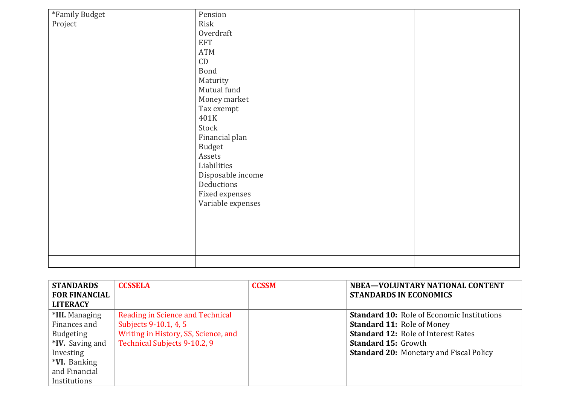| *Family Budget | Pension           |  |
|----------------|-------------------|--|
| Project        | Risk              |  |
|                | Overdraft         |  |
|                | <b>EFT</b>        |  |
|                | ATM               |  |
|                | $\mathsf{CD}$     |  |
|                | Bond              |  |
|                | Maturity          |  |
|                | Mutual fund       |  |
|                | Money market      |  |
|                | Tax exempt        |  |
|                | 401K              |  |
|                | Stock             |  |
|                | Financial plan    |  |
|                | <b>Budget</b>     |  |
|                | Assets            |  |
|                | Liabilities       |  |
|                | Disposable income |  |
|                | Deductions        |  |
|                | Fixed expenses    |  |
|                | Variable expenses |  |
|                |                   |  |
|                |                   |  |
|                |                   |  |
|                |                   |  |
|                |                   |  |
|                |                   |  |
|                |                   |  |

| <b>STANDARDS</b><br><b>FOR FINANCIAL</b> | <b>CCSSELA</b>                       | <b>CCSSM</b> | NBEA-VOLUNTARY NATIONAL CONTENT<br><b>STANDARDS IN ECONOMICS</b> |
|------------------------------------------|--------------------------------------|--------------|------------------------------------------------------------------|
| <b>LITERACY</b>                          |                                      |              |                                                                  |
| *III. Managing                           | Reading in Science and Technical     |              | <b>Standard 10: Role of Economic Institutions</b>                |
| Finances and                             | Subjects 9-10.1, 4, 5                |              | <b>Standard 11: Role of Money</b>                                |
| <b>Budgeting</b>                         | Writing in History, SS, Science, and |              | <b>Standard 12: Role of Interest Rates</b>                       |
| <b>*IV.</b> Saving and                   | Technical Subjects 9-10.2, 9         |              | <b>Standard 15: Growth</b>                                       |
| Investing                                |                                      |              | <b>Standard 20: Monetary and Fiscal Policy</b>                   |
| <i>*VI.</i> Banking                      |                                      |              |                                                                  |
| and Financial                            |                                      |              |                                                                  |
| Institutions                             |                                      |              |                                                                  |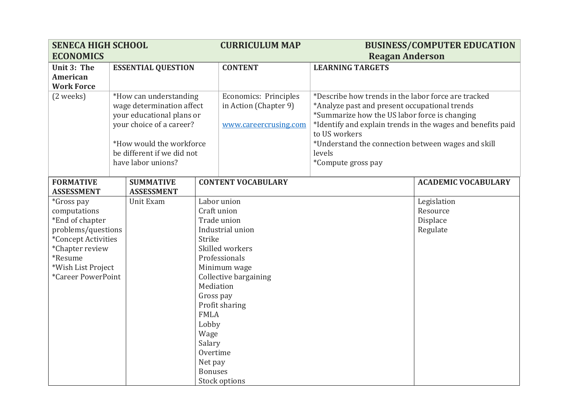| <b>SENECA HIGH SCHOOL</b>     |                           | <b>CURRICULUM MAP</b>                                  |                | <b>BUSINESS/COMPUTER EDUCATION</b>    |                                                     |                                                             |
|-------------------------------|---------------------------|--------------------------------------------------------|----------------|---------------------------------------|-----------------------------------------------------|-------------------------------------------------------------|
| <b>ECONOMICS</b>              |                           |                                                        |                |                                       | <b>Reagan Anderson</b>                              |                                                             |
| Unit 3: The                   | <b>ESSENTIAL QUESTION</b> |                                                        | <b>CONTENT</b> | <b>LEARNING TARGETS</b>               |                                                     |                                                             |
| <b>American</b>               |                           |                                                        |                |                                       |                                                     |                                                             |
| <b>Work Force</b>             |                           |                                                        |                |                                       |                                                     |                                                             |
| (2 weeks)                     |                           | *How can understanding                                 |                | Economics: Principles                 | *Describe how trends in the labor force are tracked |                                                             |
|                               |                           | wage determination affect                              |                | in Action (Chapter 9)                 | *Analyze past and present occupational trends       |                                                             |
|                               |                           | your educational plans or                              |                |                                       | *Summarize how the US labor force is changing       |                                                             |
|                               |                           | your choice of a career?                               |                | www.careercrusing.com                 |                                                     | *Identify and explain trends in the wages and benefits paid |
|                               |                           |                                                        |                |                                       | to US workers                                       |                                                             |
|                               |                           | *How would the workforce<br>be different if we did not |                |                                       | *Understand the connection between wages and skill  |                                                             |
|                               |                           | have labor unions?                                     |                |                                       | levels<br>*Compute gross pay                        |                                                             |
|                               |                           |                                                        |                |                                       |                                                     |                                                             |
| <b>FORMATIVE</b>              |                           | <b>SUMMATIVE</b>                                       |                | <b>CONTENT VOCABULARY</b>             |                                                     | <b>ACADEMIC VOCABULARY</b>                                  |
| <b>ASSESSMENT</b>             |                           | <b>ASSESSMENT</b>                                      |                |                                       |                                                     |                                                             |
| <i>*Gross pay</i>             |                           | Unit Exam                                              |                | Labor union                           |                                                     | Legislation                                                 |
| computations                  |                           |                                                        | Craft union    |                                       |                                                     | Resource                                                    |
| *End of chapter               |                           |                                                        |                | Trade union                           |                                                     | Displace                                                    |
| problems/questions            |                           |                                                        |                | Industrial union                      |                                                     | Regulate                                                    |
| *Concept Activities           |                           |                                                        | Strike         |                                       |                                                     |                                                             |
| *Chapter review               |                           |                                                        |                | Skilled workers                       |                                                     |                                                             |
| *Resume<br>*Wish List Project |                           |                                                        |                | Professionals                         |                                                     |                                                             |
| *Career PowerPoint            |                           |                                                        |                | Minimum wage<br>Collective bargaining |                                                     |                                                             |
|                               |                           |                                                        | Mediation      |                                       |                                                     |                                                             |
|                               |                           |                                                        | Gross pay      |                                       |                                                     |                                                             |
|                               |                           |                                                        |                | Profit sharing                        |                                                     |                                                             |
|                               |                           |                                                        | <b>FMLA</b>    |                                       |                                                     |                                                             |
|                               |                           |                                                        | Lobby          |                                       |                                                     |                                                             |
|                               |                           |                                                        | Wage           |                                       |                                                     |                                                             |
|                               |                           |                                                        | Salary         |                                       |                                                     |                                                             |
|                               |                           |                                                        | Overtime       |                                       |                                                     |                                                             |
|                               |                           |                                                        | Net pay        |                                       |                                                     |                                                             |
|                               |                           |                                                        | <b>Bonuses</b> |                                       |                                                     |                                                             |
|                               |                           |                                                        |                | Stock options                         |                                                     |                                                             |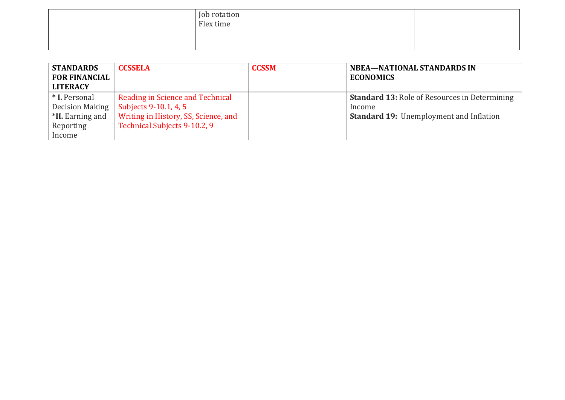|  | Job rotation<br>Flex time |  |
|--|---------------------------|--|
|  |                           |  |

| <b>STANDARDS</b>     | <b>CCSSELA</b>                       | <b>CCSSM</b> | <b>NBEA-NATIONAL STANDARDS IN</b>                    |
|----------------------|--------------------------------------|--------------|------------------------------------------------------|
| <b>FOR FINANCIAL</b> |                                      |              | <b>ECONOMICS</b>                                     |
| <b>LITERACY</b>      |                                      |              |                                                      |
| * I. Personal        | Reading in Science and Technical     |              | <b>Standard 13: Role of Resources in Determining</b> |
| Decision Making      | Subjects 9-10.1, 4, 5                |              | Income                                               |
| *II. Earning and     | Writing in History, SS, Science, and |              | <b>Standard 19: Unemployment and Inflation</b>       |
| Reporting            | Technical Subjects 9-10.2, 9         |              |                                                      |
| Income               |                                      |              |                                                      |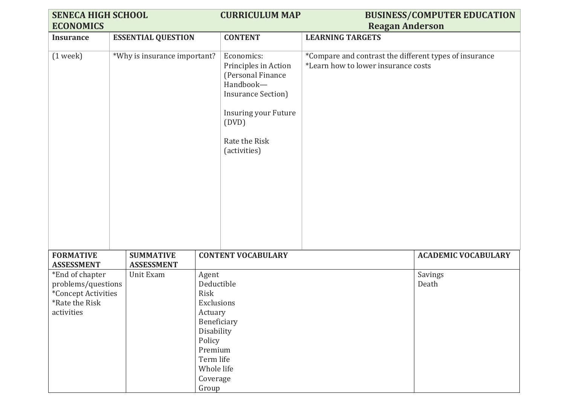| <b>SENECA HIGH SCHOOL</b>                                                                                 |                                       |                                                                                                                                         | <b>CURRICULUM MAP</b>                                                                                                                                                       |                                                                                               | <b>BUSINESS/COMPUTER EDUCATION</b> |
|-----------------------------------------------------------------------------------------------------------|---------------------------------------|-----------------------------------------------------------------------------------------------------------------------------------------|-----------------------------------------------------------------------------------------------------------------------------------------------------------------------------|-----------------------------------------------------------------------------------------------|------------------------------------|
| <b>ECONOMICS</b>                                                                                          |                                       |                                                                                                                                         |                                                                                                                                                                             | <b>Reagan Anderson</b>                                                                        |                                    |
| <b>Insurance</b>                                                                                          | <b>ESSENTIAL QUESTION</b>             |                                                                                                                                         | <b>CONTENT</b>                                                                                                                                                              | <b>LEARNING TARGETS</b>                                                                       |                                    |
| $(1$ week $)$                                                                                             | *Why is insurance important?          |                                                                                                                                         | Economics:<br>Principles in Action<br>(Personal Finance<br>Handbook-<br><b>Insurance Section</b> )<br><b>Insuring your Future</b><br>(DVD)<br>Rate the Risk<br>(activities) | *Compare and contrast the different types of insurance<br>*Learn how to lower insurance costs |                                    |
| <b>FORMATIVE</b><br><b>ASSESSMENT</b>                                                                     | <b>SUMMATIVE</b><br><b>ASSESSMENT</b> |                                                                                                                                         | <b>CONTENT VOCABULARY</b>                                                                                                                                                   |                                                                                               | <b>ACADEMIC VOCABULARY</b>         |
| *End of chapter<br>Unit Exam<br>problems/questions<br>*Concept Activities<br>*Rate the Risk<br>activities |                                       | Agent<br>Deductible<br>Risk<br>Exclusions<br>Actuary<br>Disability<br>Policy<br>Premium<br>Term life<br>Whole life<br>Coverage<br>Group | Beneficiary                                                                                                                                                                 |                                                                                               | <b>Savings</b><br>Death            |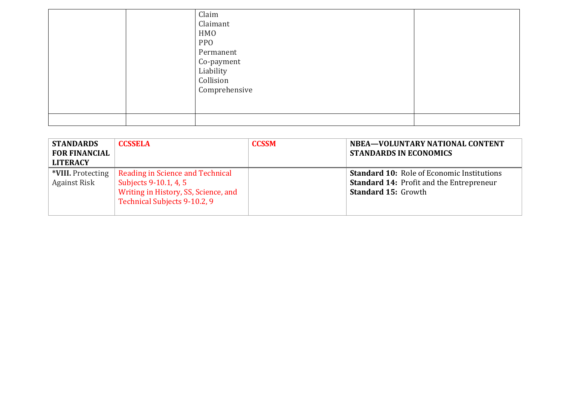|  | Claim<br>Claimant<br><b>HMO</b><br><b>PPO</b><br>Permanent<br>Co-payment<br>Liability<br>Collision<br>Comprehensive |  |
|--|---------------------------------------------------------------------------------------------------------------------|--|
|  |                                                                                                                     |  |

| <b>STANDARDS</b><br><b>FOR FINANCIAL</b><br><b>LITERACY</b> | <b>CCSSELA</b>                                                                                                                    | <b>CCSSM</b> | NBEA-VOLUNTARY NATIONAL CONTENT<br><b>STANDARDS IN ECONOMICS</b>                                                                   |
|-------------------------------------------------------------|-----------------------------------------------------------------------------------------------------------------------------------|--------------|------------------------------------------------------------------------------------------------------------------------------------|
| *VIII. Protecting<br><b>Against Risk</b>                    | Reading in Science and Technical<br>Subjects 9-10.1, 4, 5<br>Writing in History, SS, Science, and<br>Technical Subjects 9-10.2, 9 |              | <b>Standard 10: Role of Economic Institutions</b><br><b>Standard 14: Profit and the Entrepreneur</b><br><b>Standard 15: Growth</b> |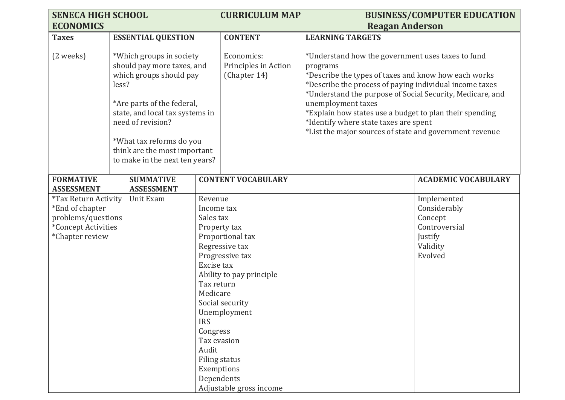| <b>SENECA HIGH SCHOOL</b>                               |       |                                 |                        | <b>CURRICULUM MAP</b>                 |                                                                                                                      | <b>BUSINESS/COMPUTER EDUCATION</b> |
|---------------------------------------------------------|-------|---------------------------------|------------------------|---------------------------------------|----------------------------------------------------------------------------------------------------------------------|------------------------------------|
| <b>ECONOMICS</b>                                        |       |                                 |                        |                                       | <b>Reagan Anderson</b>                                                                                               |                                    |
| <b>Taxes</b>                                            |       | <b>ESSENTIAL QUESTION</b>       |                        | <b>CONTENT</b>                        | <b>LEARNING TARGETS</b>                                                                                              |                                    |
|                                                         |       |                                 |                        |                                       |                                                                                                                      |                                    |
| (2 weeks)                                               |       | *Which groups in society        |                        | Economics:                            | *Understand how the government uses taxes to fund                                                                    |                                    |
|                                                         |       | should pay more taxes, and      |                        | Principles in Action                  | programs                                                                                                             |                                    |
|                                                         |       | which groups should pay         |                        | (Chapter 14)                          | *Describe the types of taxes and know how each works                                                                 |                                    |
|                                                         | less? |                                 |                        |                                       | *Describe the process of paying individual income taxes<br>*Understand the purpose of Social Security, Medicare, and |                                    |
|                                                         |       | *Are parts of the federal,      |                        |                                       | unemployment taxes                                                                                                   |                                    |
|                                                         |       | state, and local tax systems in |                        |                                       | *Explain how states use a budget to plan their spending                                                              |                                    |
|                                                         |       | need of revision?               |                        |                                       | *Identify where state taxes are spent                                                                                |                                    |
|                                                         |       |                                 |                        |                                       | *List the major sources of state and government revenue                                                              |                                    |
|                                                         |       | *What tax reforms do you        |                        |                                       |                                                                                                                      |                                    |
|                                                         |       | think are the most important    |                        |                                       |                                                                                                                      |                                    |
|                                                         |       | to make in the next ten years?  |                        |                                       |                                                                                                                      |                                    |
|                                                         |       |                                 |                        |                                       |                                                                                                                      |                                    |
| <b>FORMATIVE</b>                                        |       | <b>SUMMATIVE</b>                |                        | <b>CONTENT VOCABULARY</b>             |                                                                                                                      | <b>ACADEMIC VOCABULARY</b>         |
| <b>ASSESSMENT</b><br><i><b>*Tax Return Activity</b></i> |       | <b>ASSESSMENT</b><br>Unit Exam  | Revenue                |                                       |                                                                                                                      | Implemented                        |
| *End of chapter                                         |       |                                 | Income tax             |                                       |                                                                                                                      | Considerably                       |
| problems/questions                                      |       |                                 | Sales tax              |                                       |                                                                                                                      | Concept                            |
| *Concept Activities                                     |       |                                 |                        | Property tax                          |                                                                                                                      | Controversial                      |
| *Chapter review                                         |       |                                 |                        | Proportional tax                      |                                                                                                                      | Justify                            |
|                                                         |       |                                 |                        | Regressive tax                        |                                                                                                                      | Validity                           |
|                                                         |       |                                 |                        | Progressive tax                       |                                                                                                                      | Evolved                            |
|                                                         |       |                                 | Excise tax             |                                       |                                                                                                                      |                                    |
|                                                         |       |                                 |                        | Ability to pay principle              |                                                                                                                      |                                    |
|                                                         |       |                                 | Tax return<br>Medicare |                                       |                                                                                                                      |                                    |
|                                                         |       |                                 |                        | Social security                       |                                                                                                                      |                                    |
|                                                         |       |                                 |                        | Unemployment                          |                                                                                                                      |                                    |
|                                                         |       |                                 | <b>IRS</b>             |                                       |                                                                                                                      |                                    |
|                                                         |       |                                 | Congress               |                                       |                                                                                                                      |                                    |
|                                                         |       |                                 |                        | Tax evasion                           |                                                                                                                      |                                    |
|                                                         |       |                                 | Audit                  |                                       |                                                                                                                      |                                    |
|                                                         |       |                                 |                        | <b>Filing status</b>                  |                                                                                                                      |                                    |
|                                                         |       |                                 |                        | Exemptions                            |                                                                                                                      |                                    |
|                                                         |       |                                 |                        |                                       |                                                                                                                      |                                    |
|                                                         |       |                                 |                        | Dependents<br>Adjustable gross income |                                                                                                                      |                                    |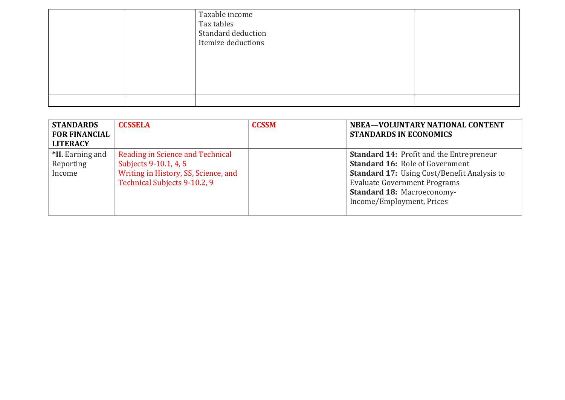|  | Taxable income<br>Tax tables<br>Standard deduction<br>Itemize deductions |  |
|--|--------------------------------------------------------------------------|--|
|  |                                                                          |  |

| <b>STANDARDS</b><br><b>FOR FINANCIAL</b><br><b>LITERACY</b> | <b>CCSSELA</b>                                                                                                                    | <b>CCSSM</b> | NBEA-VOLUNTARY NATIONAL CONTENT<br><b>STANDARDS IN ECONOMICS</b>                                                                                                                                                                                  |
|-------------------------------------------------------------|-----------------------------------------------------------------------------------------------------------------------------------|--------------|---------------------------------------------------------------------------------------------------------------------------------------------------------------------------------------------------------------------------------------------------|
| *II. Earning and<br>Reporting<br>Income                     | Reading in Science and Technical<br>Subjects 9-10.1, 4, 5<br>Writing in History, SS, Science, and<br>Technical Subjects 9-10.2, 9 |              | <b>Standard 14: Profit and the Entrepreneur</b><br><b>Standard 16: Role of Government</b><br><b>Standard 17:</b> Using Cost/Benefit Analysis to<br><b>Evaluate Government Programs</b><br>Standard 18: Macroeconomy-<br>Income/Employment, Prices |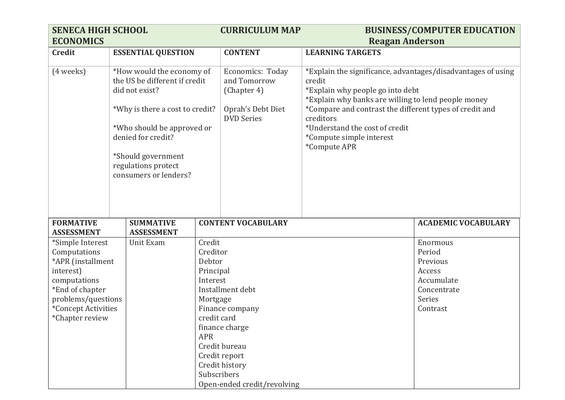| <b>SENECA HIGH SCHOOL</b><br><b>ECONOMICS</b>                                                                                                                         |                                                                                                                                                                                                                                           |                                                                                                               | <b>CURRICULUM MAP</b>                                                                                                                    | <b>Reagan Anderson</b>                                                                                                                                                                                                                                                                                                  | <b>BUSINESS/COMPUTER EDUCATION</b>                                                          |
|-----------------------------------------------------------------------------------------------------------------------------------------------------------------------|-------------------------------------------------------------------------------------------------------------------------------------------------------------------------------------------------------------------------------------------|---------------------------------------------------------------------------------------------------------------|------------------------------------------------------------------------------------------------------------------------------------------|-------------------------------------------------------------------------------------------------------------------------------------------------------------------------------------------------------------------------------------------------------------------------------------------------------------------------|---------------------------------------------------------------------------------------------|
| <b>Credit</b>                                                                                                                                                         | <b>ESSENTIAL QUESTION</b>                                                                                                                                                                                                                 |                                                                                                               | <b>CONTENT</b>                                                                                                                           | <b>LEARNING TARGETS</b>                                                                                                                                                                                                                                                                                                 |                                                                                             |
| (4 weeks)                                                                                                                                                             | *How would the economy of<br>the US be different if credit<br>did not exist?<br>*Why is there a cost to credit?<br>*Who should be approved or<br>denied for credit?<br>*Should government<br>regulations protect<br>consumers or lenders? |                                                                                                               | Economics: Today<br>and Tomorrow<br>(Chapter 4)<br>Oprah's Debt Diet<br><b>DVD</b> Series                                                | *Explain the significance, advantages/disadvantages of using<br>credit<br>*Explain why people go into debt<br>*Explain why banks are willing to lend people money<br>*Compare and contrast the different types of credit and<br>creditors<br>*Understand the cost of credit<br>*Compute simple interest<br>*Compute APR |                                                                                             |
| <b>FORMATIVE</b><br><b>ASSESSMENT</b>                                                                                                                                 | <b>SUMMATIVE</b><br><b>ASSESSMENT</b>                                                                                                                                                                                                     |                                                                                                               | <b>CONTENT VOCABULARY</b>                                                                                                                |                                                                                                                                                                                                                                                                                                                         | <b>ACADEMIC VOCABULARY</b>                                                                  |
| *Simple Interest<br>Computations<br>*APR (installment<br>interest)<br>computations<br>*End of chapter<br>problems/questions<br>*Concept Activities<br>*Chapter review | Unit Exam                                                                                                                                                                                                                                 | Credit<br>Creditor<br>Debtor<br>Principal<br>Interest<br>Mortgage<br>credit card<br><b>APR</b><br>Subscribers | Installment debt<br>Finance company<br>finance charge<br>Credit bureau<br>Credit report<br>Credit history<br>Open-ended credit/revolving |                                                                                                                                                                                                                                                                                                                         | Enormous<br>Period<br>Previous<br>Access<br>Accumulate<br>Concentrate<br>Series<br>Contrast |